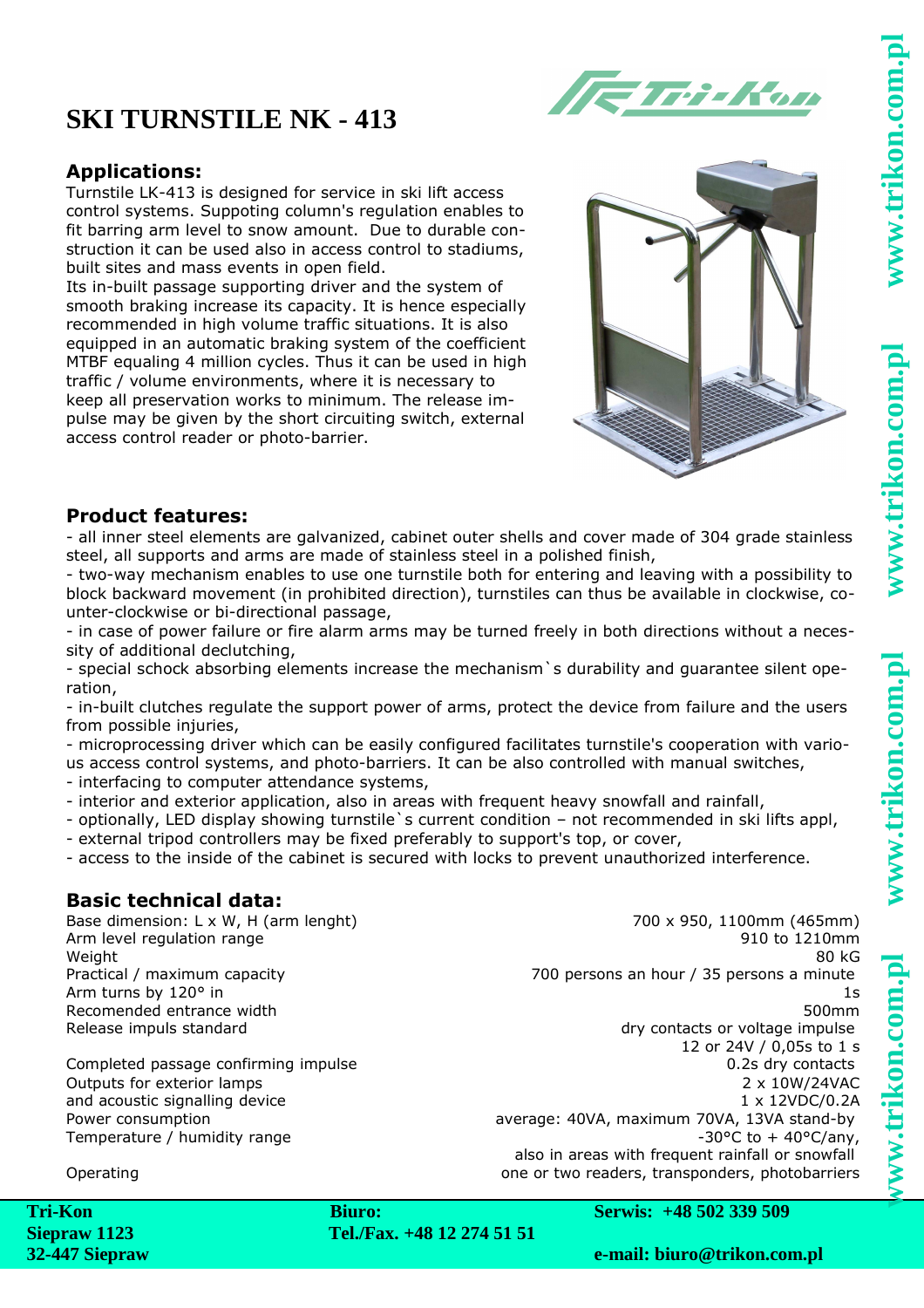# www.trikon.com.

ww.trikon.com.p

# **SKI TURNSTILE NK - 413**

### **Applications:**

Turnstile LK-413 is designed for service in ski lift access control systems. Suppoting column's regulation enables to fit barring arm level to snow amount. Due to durable construction it can be used also in access control to stadiums, built sites and mass events in open field.

Its in-built passage supporting driver and the system of smooth braking increase its capacity. It is hence especially recommended in high volume traffic situations. It is also equipped in an automatic braking system of the coefficient MTBF equaling 4 million cycles. Thus it can be used in high traffic / volume environments, where it is necessary to keep all preservation works to minimum. The release impulse may be given by the short circuiting switch, external access control reader or photo-barrier.



**ETri-Kon** 

### **Product features:**

- all inner steel elements are galvanized, cabinet outer shells and cover made of 304 grade stainless steel, all supports and arms are made of stainless steel in a polished finish,

- two-way mechanism enables to use one turnstile both for entering and leaving with a possibility to block backward movement (in prohibited direction), turnstiles can thus be available in clockwise, counter-clockwise or bi-directional passage,

- in case of power failure or fire alarm arms may be turned freely in both directions without a necessity of additional declutching,

- special schock absorbing elements increase the mechanism`s durability and guarantee silent operation,

- in-built clutches regulate the support power of arms, protect the device from failure and the users from possible injuries,

- microprocessing driver which can be easily configured facilitates turnstile's cooperation with various access control systems, and photo-barriers. It can be also controlled with manual switches,

- interfacing to computer attendance systems,

- interior and exterior application, also in areas with frequent heavy snowfall and rainfall,
- optionally, LED display showing turnstile`s current condition not recommended in ski lifts appl,
- external tripod controllers may be fixed preferably to support's top, or cover,
- access to the inside of the cabinet is secured with locks to prevent unauthorized interference.

### **Basic technical data:**

Outputs for exterior lamps and acoustic signalling device

Base dimension: L x W, H (arm lenght) 700 x 950, 1100mm (465mm) Arm level regulation range and the state of the state of the state of the 910 to 1210mm Weight 80 kG Practical / maximum capacity 700 persons an hour / 35 persons a minute Arm turns by 120° in 1s Recomended entrance width 500mm Release impuls standard and the contacts of voltage impulse 12 or 24V / 0,05s to 1 s Completed passage confirming impulse 0.2s dry contacts 2 x 10W/24VAC 1 x 12VDC/0.2A Power consumption average: 40VA, maximum 70VA, 13VA stand-by Temperature / humidity range  $-30^{\circ}$ C to  $+40^{\circ}$ C/any, also in areas with frequent rainfall or snowfall Operating one or two readers, transponders, photobarriers

**Serwis: +48 502 339 509**

**Tel./Fax. +48 12 274 51 51**

**Biuro:**

**e-mail: biuro@trikon.com.pl**